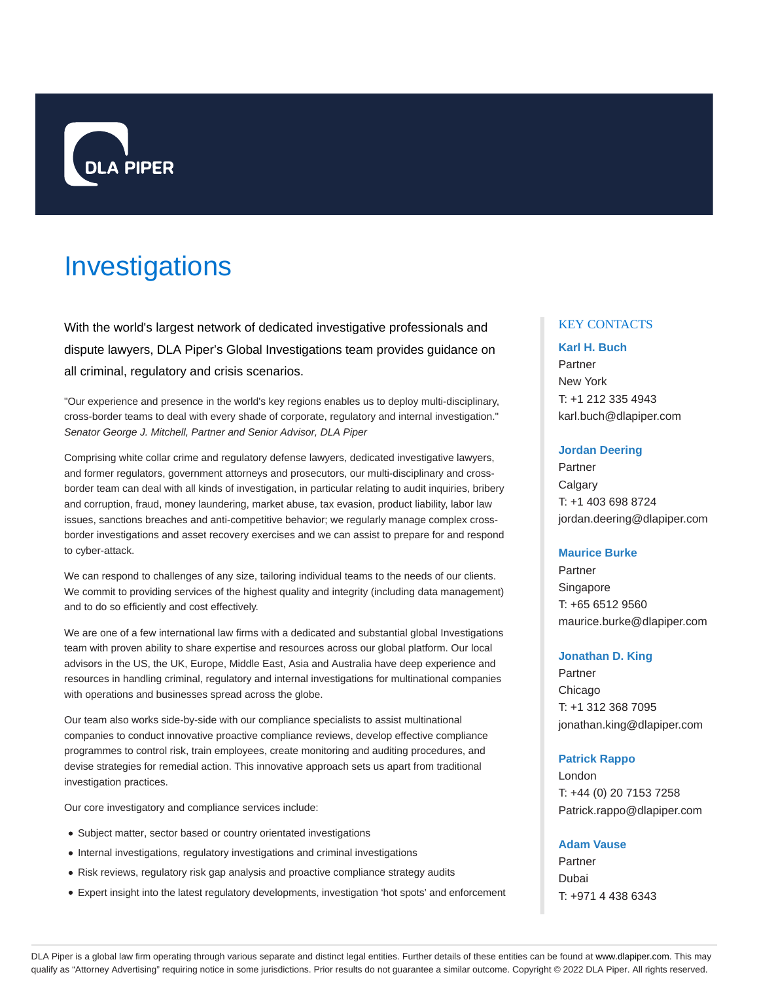

# Investigations

With the world's largest network of dedicated investigative professionals and dispute lawyers, DLA Piper's Global Investigations team provides guidance on all criminal, regulatory and crisis scenarios.

"Our experience and presence in the world's key regions enables us to deploy multi-disciplinary, cross-border teams to deal with every shade of corporate, regulatory and internal investigation." Senator George J. Mitchell, Partner and Senior Advisor, DLA Piper

Comprising white collar crime and regulatory defense lawyers, dedicated investigative lawyers, and former regulators, government attorneys and prosecutors, our multi-disciplinary and crossborder team can deal with all kinds of investigation, in particular relating to audit inquiries, bribery and corruption, fraud, money laundering, market abuse, tax evasion, product liability, labor law issues, sanctions breaches and anti-competitive behavior; we regularly manage complex crossborder investigations and asset recovery exercises and we can assist to prepare for and respond to cyber-attack.

We can respond to challenges of any size, tailoring individual teams to the needs of our clients. We commit to providing services of the highest quality and integrity (including data management) and to do so efficiently and cost effectively.

We are one of a few international law firms with a dedicated and substantial global Investigations team with proven ability to share expertise and resources across our global platform. Our local advisors in the US, the UK, Europe, Middle East, Asia and Australia have deep experience and resources in handling criminal, regulatory and internal investigations for multinational companies with operations and businesses spread across the globe.

Our team also works side-by-side with our compliance specialists to assist multinational companies to conduct innovative proactive compliance reviews, develop effective compliance programmes to control risk, train employees, create monitoring and auditing procedures, and devise strategies for remedial action. This innovative approach sets us apart from traditional investigation practices.

Our core investigatory and compliance services include:

- Subject matter, sector based or country orientated investigations
- Internal investigations, regulatory investigations and criminal investigations
- Risk reviews, regulatory risk gap analysis and proactive compliance strategy audits
- Expert insight into the latest regulatory developments, investigation 'hot spots' and enforcement

## KEY CONTACTS

## **Karl H. Buch**

Partner New York T: +1 212 335 4943 karl.buch@dlapiper.com

#### **Jordan Deering**

Partner **Calgary** T: +1 403 698 8724 jordan.deering@dlapiper.com

#### **Maurice Burke**

Partner Singapore T: +65 6512 9560 maurice.burke@dlapiper.com

#### **Jonathan D. King**

Partner Chicago T: +1 312 368 7095 jonathan.king@dlapiper.com

## **Patrick Rappo**

London T: +44 (0) 20 7153 7258 Patrick.rappo@dlapiper.com

## **Adam Vause**

Partner Dubai T: +971 4 438 6343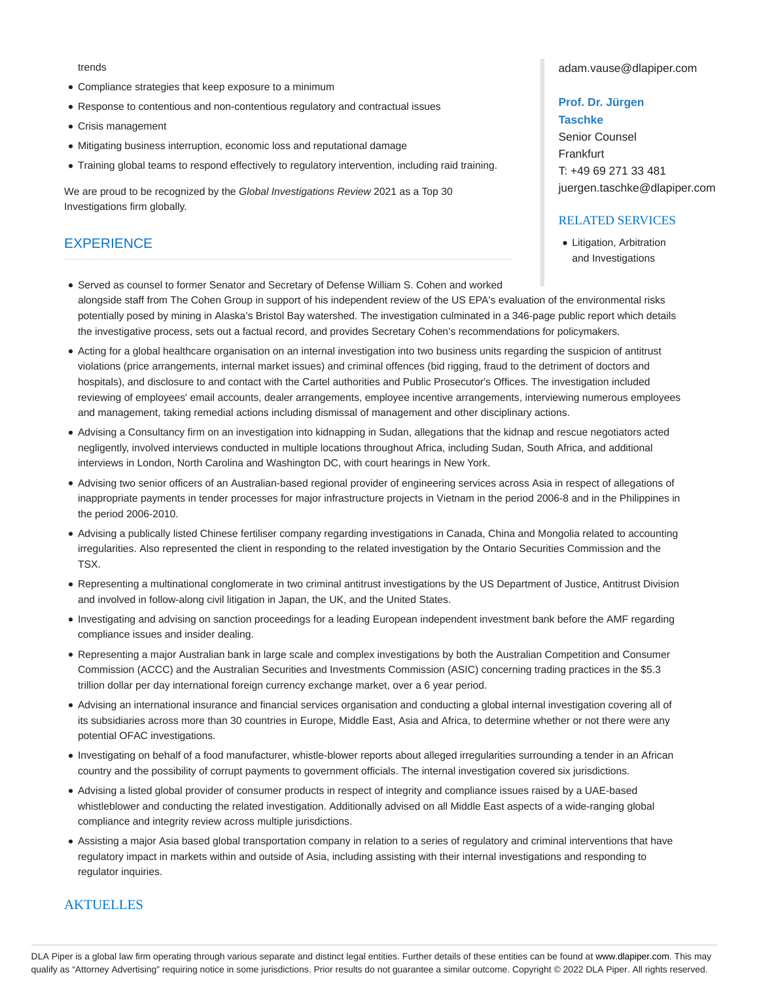#### trends

- Compliance strategies that keep exposure to a minimum
- Response to contentious and non-contentious regulatory and contractual issues
- Crisis management
- Mitigating business interruption, economic loss and reputational damage
- Training global teams to respond effectively to regulatory intervention, including raid training.

We are proud to be recognized by the Global Investigations Review 2021 as a Top 30 Investigations firm globally.

# **EXPERIENCE**

adam.vause@dlapiper.com

## **Prof. Dr. Jürgen Taschke**

Senior Counsel **Frankfurt** T: +49 69 271 33 481 juergen.taschke@dlapiper.com

## RELATED SERVICES

• Litigation, Arbitration and Investigations

- Served as counsel to former Senator and Secretary of Defense William S. Cohen and worked alongside staff from The Cohen Group in support of his independent review of the US EPA's evaluation of the environmental risks potentially posed by mining in Alaska's Bristol Bay watershed. The investigation culminated in a 346-page public report which details the investigative process, sets out a factual record, and provides Secretary Cohen's recommendations for policymakers.
- Acting for a global healthcare organisation on an internal investigation into two business units regarding the suspicion of antitrust violations (price arrangements, internal market issues) and criminal offences (bid rigging, fraud to the detriment of doctors and hospitals), and disclosure to and contact with the Cartel authorities and Public Prosecutor's Offices. The investigation included reviewing of employees' email accounts, dealer arrangements, employee incentive arrangements, interviewing numerous employees and management, taking remedial actions including dismissal of management and other disciplinary actions.
- Advising a Consultancy firm on an investigation into kidnapping in Sudan, allegations that the kidnap and rescue negotiators acted negligently, involved interviews conducted in multiple locations throughout Africa, including Sudan, South Africa, and additional interviews in London, North Carolina and Washington DC, with court hearings in New York.
- Advising two senior officers of an Australian-based regional provider of engineering services across Asia in respect of allegations of inappropriate payments in tender processes for major infrastructure projects in Vietnam in the period 2006-8 and in the Philippines in the period 2006-2010.
- Advising a publically listed Chinese fertiliser company regarding investigations in Canada, China and Mongolia related to accounting irregularities. Also represented the client in responding to the related investigation by the Ontario Securities Commission and the TSX.
- Representing a multinational conglomerate in two criminal antitrust investigations by the US Department of Justice, Antitrust Division and involved in follow-along civil litigation in Japan, the UK, and the United States.
- Investigating and advising on sanction proceedings for a leading European independent investment bank before the AMF regarding compliance issues and insider dealing.
- Representing a major Australian bank in large scale and complex investigations by both the Australian Competition and Consumer Commission (ACCC) and the Australian Securities and Investments Commission (ASIC) concerning trading practices in the \$5.3 trillion dollar per day international foreign currency exchange market, over a 6 year period.
- Advising an international insurance and financial services organisation and conducting a global internal investigation covering all of its subsidiaries across more than 30 countries in Europe, Middle East, Asia and Africa, to determine whether or not there were any potential OFAC investigations.
- Investigating on behalf of a food manufacturer, whistle-blower reports about alleged irregularities surrounding a tender in an African country and the possibility of corrupt payments to government officials. The internal investigation covered six jurisdictions.
- Advising a listed global provider of consumer products in respect of integrity and compliance issues raised by a UAE-based whistleblower and conducting the related investigation. Additionally advised on all Middle East aspects of a wide-ranging global compliance and integrity review across multiple jurisdictions.
- Assisting a major Asia based global transportation company in relation to a series of regulatory and criminal interventions that have regulatory impact in markets within and outside of Asia, including assisting with their internal investigations and responding to regulator inquiries.

## **AKTUELLES**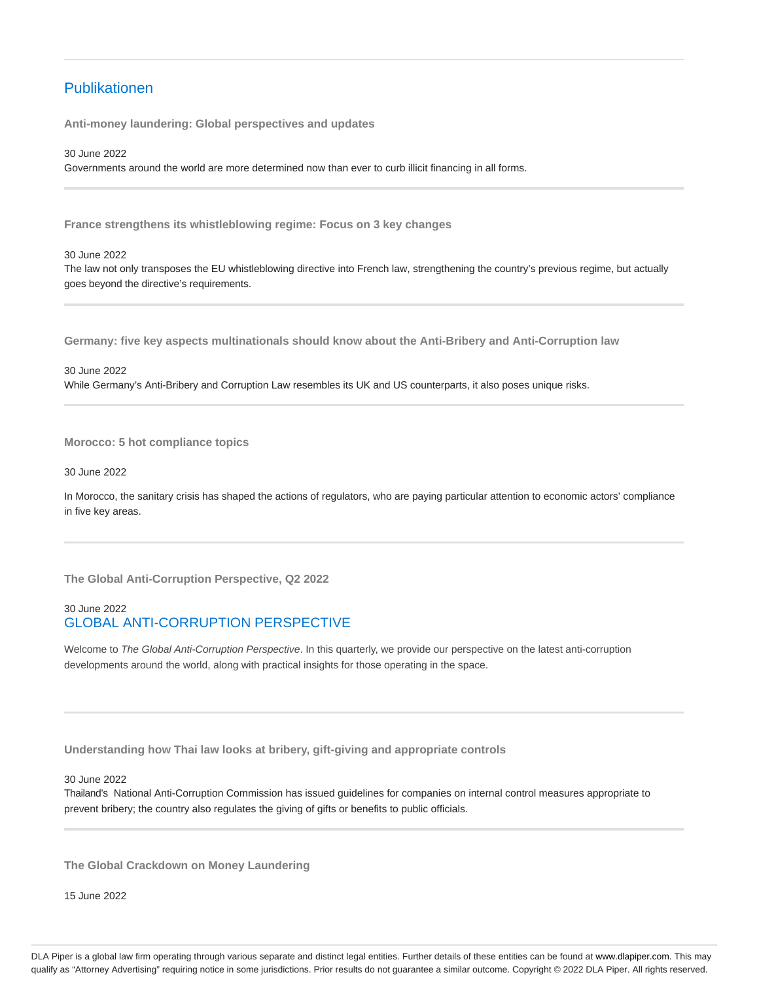# Publikationen

**Anti-money laundering: Global perspectives and updates**

30 June 2022 Governments around the world are more determined now than ever to curb illicit financing in all forms.

**France strengthens its whistleblowing regime: Focus on 3 key changes**

30 June 2022

The law not only transposes the EU whistleblowing directive into French law, strengthening the country's previous regime, but actually goes beyond the directive's requirements.

**Germany: five key aspects multinationals should know about the Anti-Bribery and Anti-Corruption law**

30 June 2022

While Germany's Anti-Bribery and Corruption Law resembles its UK and US counterparts, it also poses unique risks.

**Morocco: 5 hot compliance topics**

30 June 2022

In Morocco, the sanitary crisis has shaped the actions of regulators, who are paying particular attention to economic actors' compliance in five key areas.

**The Global Anti-Corruption Perspective, Q2 2022**

## 30 June 2022 GLOBAL ANTI-CORRUPTION PERSPECTIVE

Welcome to The Global Anti-Corruption Perspective. In this quarterly, we provide our perspective on the latest anti-corruption developments around the world, along with practical insights for those operating in the space.

**Understanding how Thai law looks at bribery, gift-giving and appropriate controls**

30 June 2022

Thailand's National Anti-Corruption Commission has issued guidelines for companies on internal control measures appropriate to prevent bribery; the country also regulates the giving of gifts or benefits to public officials.

**The Global Crackdown on Money Laundering**

15 June 2022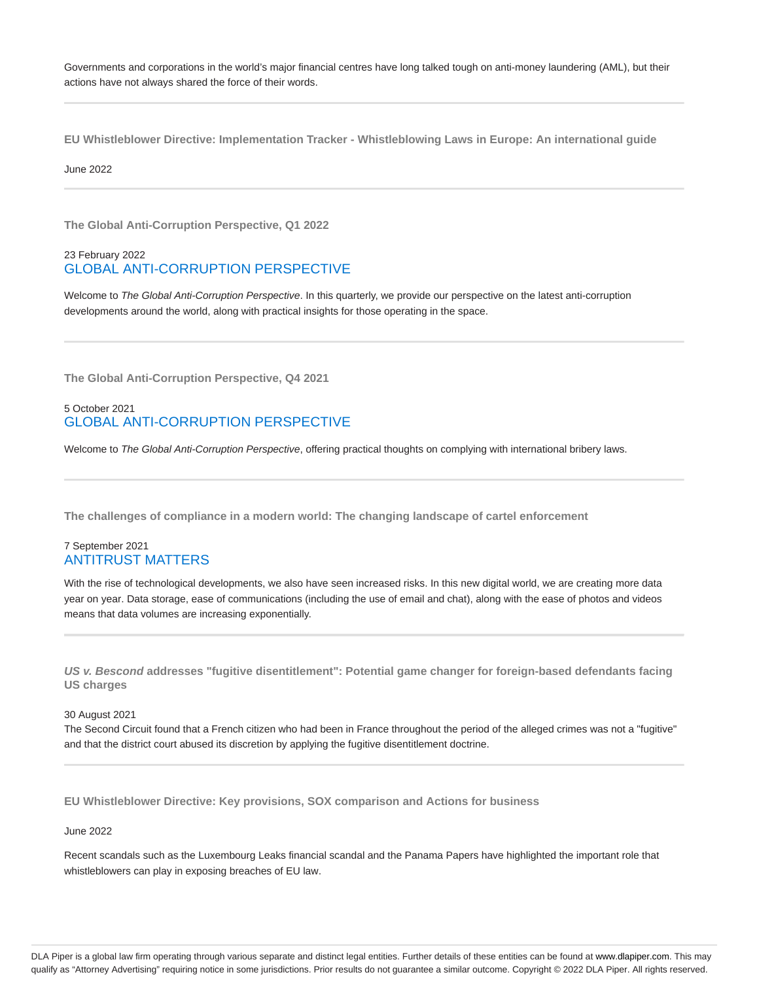Governments and corporations in the world's major financial centres have long talked tough on anti-money laundering (AML), but their actions have not always shared the force of their words.

**EU Whistleblower Directive: Implementation Tracker - Whistleblowing Laws in Europe: An international guide**

June 2022

**The Global Anti-Corruption Perspective, Q1 2022**

## 23 February 2022 GLOBAL ANTI-CORRUPTION PERSPECTIVE

Welcome to The Global Anti-Corruption Perspective. In this quarterly, we provide our perspective on the latest anti-corruption developments around the world, along with practical insights for those operating in the space.

**The Global Anti-Corruption Perspective, Q4 2021**

## 5 October 2021 GLOBAL ANTI-CORRUPTION PERSPECTIVE

Welcome to The Global Anti-Corruption Perspective, offering practical thoughts on complying with international bribery laws.

**The challenges of compliance in a modern world: The changing landscape of cartel enforcement**

## 7 September 2021 ANTITRUST MATTERS

With the rise of technological developments, we also have seen increased risks. In this new digital world, we are creating more data year on year. Data storage, ease of communications (including the use of email and chat), along with the ease of photos and videos means that data volumes are increasing exponentially.

**US v. Bescond addresses "fugitive disentitlement": Potential game changer for foreign-based defendants facing US charges**

#### 30 August 2021

The Second Circuit found that a French citizen who had been in France throughout the period of the alleged crimes was not a "fugitive" and that the district court abused its discretion by applying the fugitive disentitlement doctrine.

**EU Whistleblower Directive: Key provisions, SOX comparison and Actions for business**

#### June 2022

Recent scandals such as the Luxembourg Leaks financial scandal and the Panama Papers have highlighted the important role that whistleblowers can play in exposing breaches of EU law.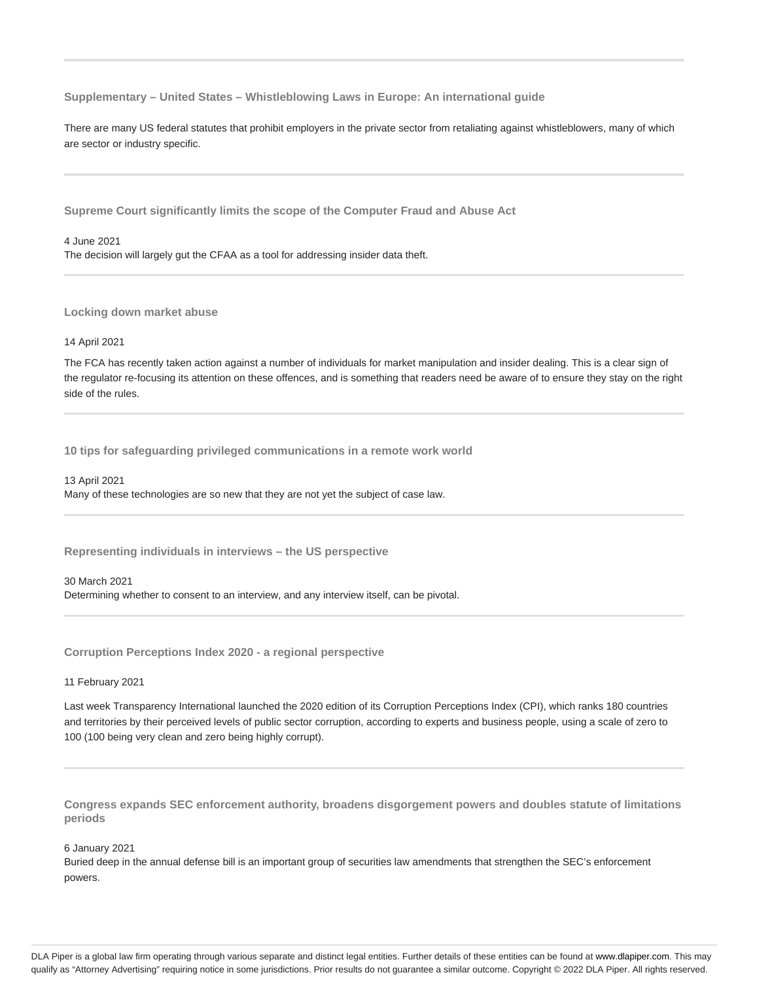**Supplementary – United States – Whistleblowing Laws in Europe: An international guide**

There are many US federal statutes that prohibit employers in the private sector from retaliating against whistleblowers, many of which are sector or industry specific.

**Supreme Court significantly limits the scope of the Computer Fraud and Abuse Act**

## 4 June 2021 The decision will largely gut the CFAA as a tool for addressing insider data theft.

**Locking down market abuse**

#### 14 April 2021

The FCA has recently taken action against a number of individuals for market manipulation and insider dealing. This is a clear sign of the regulator re-focusing its attention on these offences, and is something that readers need be aware of to ensure they stay on the right side of the rules.

**10 tips for safeguarding privileged communications in a remote work world**

13 April 2021 Many of these technologies are so new that they are not yet the subject of case law.

**Representing individuals in interviews – the US perspective**

30 March 2021 Determining whether to consent to an interview, and any interview itself, can be pivotal.

**Corruption Perceptions Index 2020 - a regional perspective**

#### 11 February 2021

Last week Transparency International launched the 2020 edition of its Corruption Perceptions Index (CPI), which ranks 180 countries and territories by their perceived levels of public sector corruption, according to experts and business people, using a scale of zero to 100 (100 being very clean and zero being highly corrupt).

**Congress expands SEC enforcement authority, broadens disgorgement powers and doubles statute of limitations periods**

#### 6 January 2021

Buried deep in the annual defense bill is an important group of securities law amendments that strengthen the SEC's enforcement powers.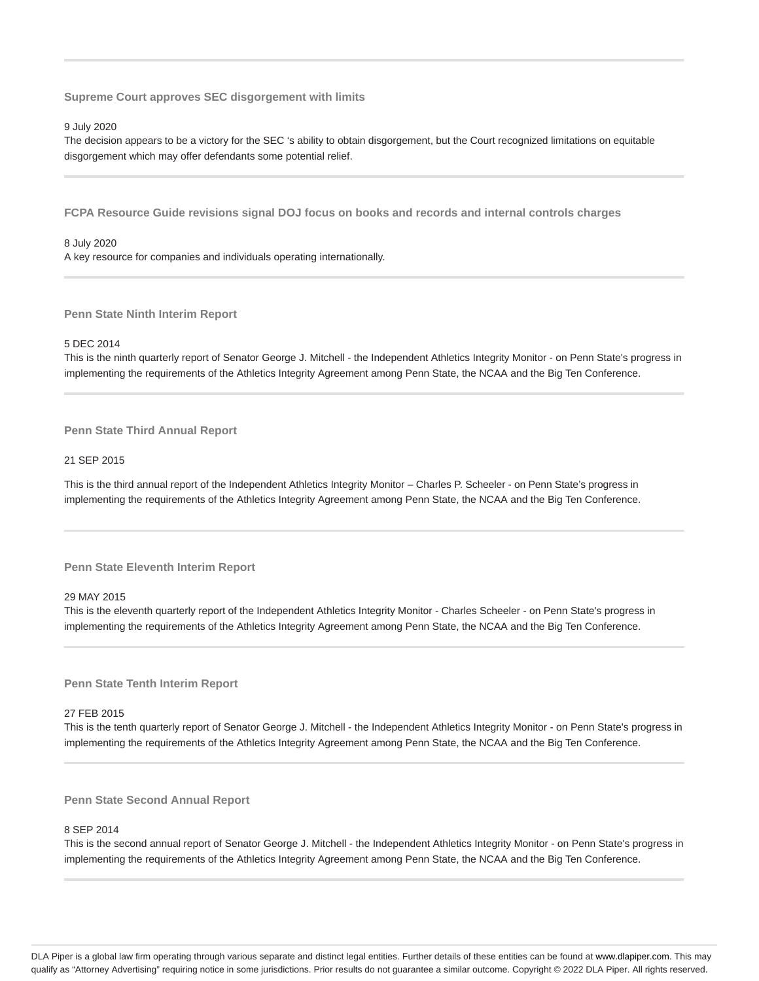**Supreme Court approves SEC disgorgement with limits**

#### 9 July 2020

The decision appears to be a victory for the SEC 's ability to obtain disgorgement, but the Court recognized limitations on equitable disgorgement which may offer defendants some potential relief.

**FCPA Resource Guide revisions signal DOJ focus on books and records and internal controls charges**

## 8 July 2020

A key resource for companies and individuals operating internationally.

**Penn State Ninth Interim Report**

#### 5 DEC 2014

This is the ninth quarterly report of Senator George J. Mitchell - the Independent Athletics Integrity Monitor - on Penn State's progress in implementing the requirements of the Athletics Integrity Agreement among Penn State, the NCAA and the Big Ten Conference.

#### **Penn State Third Annual Report**

## 21 SEP 2015

This is the third annual report of the Independent Athletics Integrity Monitor – Charles P. Scheeler - on Penn State's progress in implementing the requirements of the Athletics Integrity Agreement among Penn State, the NCAA and the Big Ten Conference.

#### **Penn State Eleventh Interim Report**

#### 29 MAY 2015

This is the eleventh quarterly report of the Independent Athletics Integrity Monitor - Charles Scheeler - on Penn State's progress in implementing the requirements of the Athletics Integrity Agreement among Penn State, the NCAA and the Big Ten Conference.

#### **Penn State Tenth Interim Report**

#### 27 FEB 2015

This is the tenth quarterly report of Senator George J. Mitchell - the Independent Athletics Integrity Monitor - on Penn State's progress in implementing the requirements of the Athletics Integrity Agreement among Penn State, the NCAA and the Big Ten Conference.

#### **Penn State Second Annual Report**

#### 8 SEP 2014

This is the second annual report of Senator George J. Mitchell - the Independent Athletics Integrity Monitor - on Penn State's progress in implementing the requirements of the Athletics Integrity Agreement among Penn State, the NCAA and the Big Ten Conference.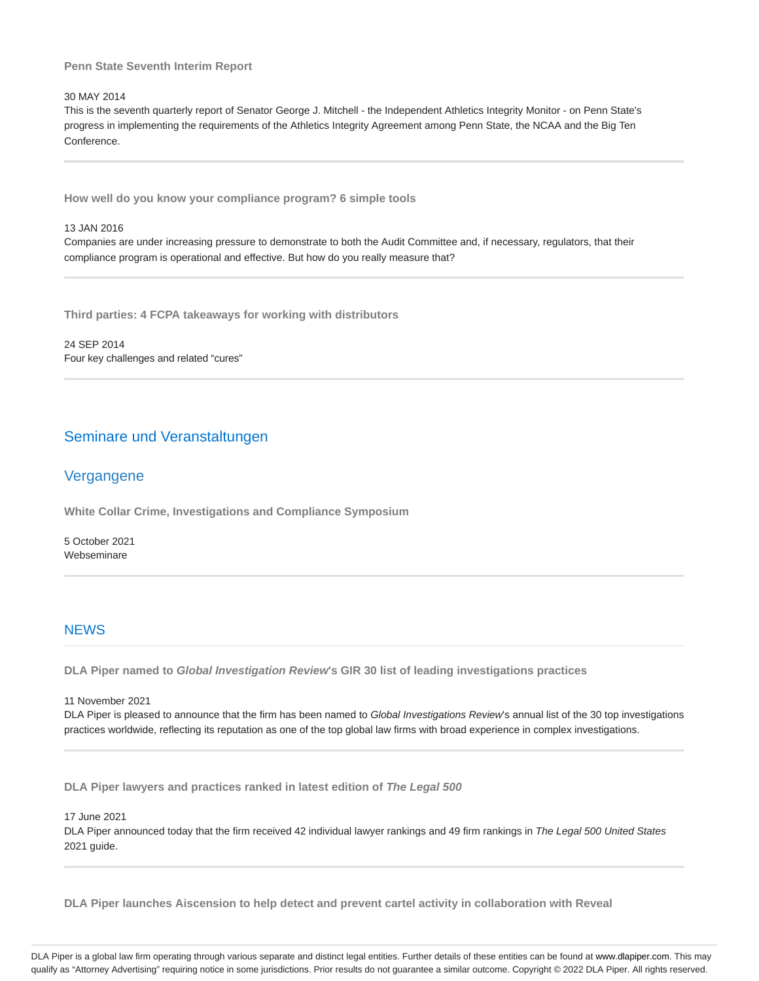#### **Penn State Seventh Interim Report**

## 30 MAY 2014

This is the seventh quarterly report of Senator George J. Mitchell - the Independent Athletics Integrity Monitor - on Penn State's progress in implementing the requirements of the Athletics Integrity Agreement among Penn State, the NCAA and the Big Ten Conference.

**How well do you know your compliance program? 6 simple tools**

#### 13 JAN 2016

Companies are under increasing pressure to demonstrate to both the Audit Committee and, if necessary, regulators, that their compliance program is operational and effective. But how do you really measure that?

**Third parties: 4 FCPA takeaways for working with distributors**

24 SEP 2014 Four key challenges and related "cures"

# Seminare und Veranstaltungen

# Vergangene

**White Collar Crime, Investigations and Compliance Symposium**

5 October 2021 Webseminare

## **NFWS**

**DLA Piper named to Global Investigation Review's GIR 30 list of leading investigations practices**

11 November 2021

DLA Piper is pleased to announce that the firm has been named to Global Investigations Review's annual list of the 30 top investigations practices worldwide, reflecting its reputation as one of the top global law firms with broad experience in complex investigations.

**DLA Piper lawyers and practices ranked in latest edition of The Legal 500**

17 June 2021

DLA Piper announced today that the firm received 42 individual lawyer rankings and 49 firm rankings in The Legal 500 United States 2021 guide.

**DLA Piper launches Aiscension to help detect and prevent cartel activity in collaboration with Reveal**